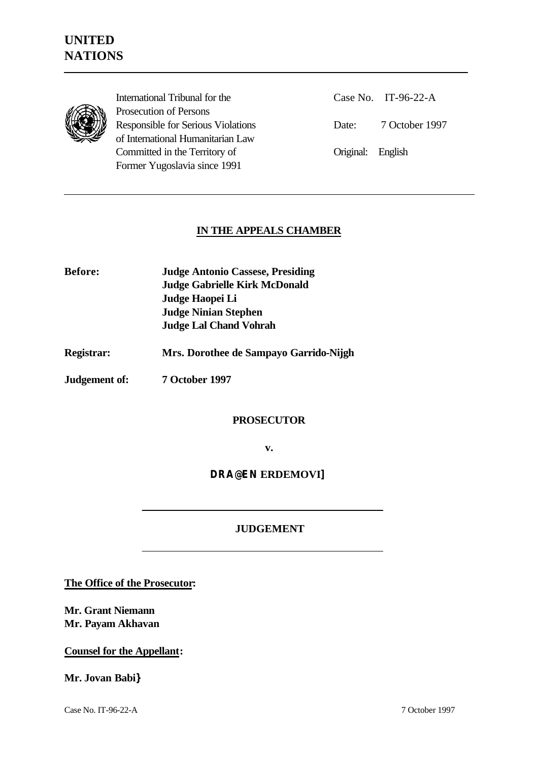

International Tribunal for the Prosecution of Persons Responsible for Serious Violations of International Humanitarian Law Committed in the Territory of Former Yugoslavia since 1991

Case No. IT-96-22-A Date: 7 October 1997 Original: English

# **IN THE APPEALS CHAMBER**

| <b>Before:</b>    | <b>Judge Antonio Cassese, Presiding</b> |
|-------------------|-----------------------------------------|
|                   | <b>Judge Gabrielle Kirk McDonald</b>    |
|                   | Judge Haopei Li                         |
|                   | <b>Judge Ninian Stephen</b>             |
|                   | <b>Judge Lal Chand Vohrah</b>           |
| <b>Registrar:</b> | Mrs. Dorothee de Sampayo Garrido-Nijgh  |
| Judgement of:     | <b>7 October 1997</b>                   |

# **PROSECUTOR**

**v.**

**DRA@EN ERDEMOVI]**

# **JUDGEMENT**

**The Office of the Prosecutor:**

**Mr. Grant Niemann Mr. Payam Akhavan**

# **Counsel for the Appellant:**

**Mr. Jovan Babi}**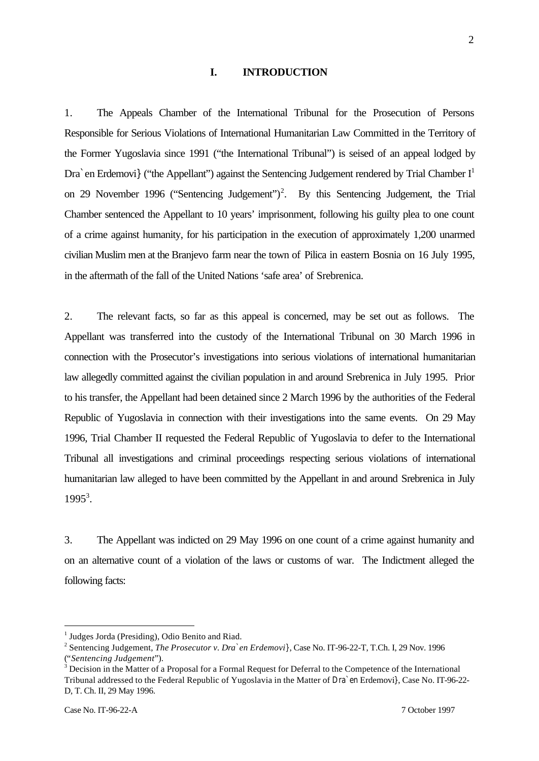#### **I. INTRODUCTION**

1. The Appeals Chamber of the International Tribunal for the Prosecution of Persons Responsible for Serious Violations of International Humanitarian Law Committed in the Territory of the Former Yugoslavia since 1991 ("the International Tribunal") is seised of an appeal lodged by Dra`en Erdemovi} ("the Appellant") against the Sentencing Judgement rendered by Trial Chamber  $I<sup>1</sup>$ on 29 November 1996 ("Sentencing Judgement")<sup>2</sup>. By this Sentencing Judgement, the Trial Chamber sentenced the Appellant to 10 years' imprisonment, following his guilty plea to one count of a crime against humanity, for his participation in the execution of approximately 1,200 unarmed civilian Muslim men at the Branjevo farm near the town of Pilica in eastern Bosnia on 16 July 1995, in the aftermath of the fall of the United Nations 'safe area' of Srebrenica.

2. The relevant facts, so far as this appeal is concerned, may be set out as follows. The Appellant was transferred into the custody of the International Tribunal on 30 March 1996 in connection with the Prosecutor's investigations into serious violations of international humanitarian law allegedly committed against the civilian population in and around Srebrenica in July 1995. Prior to his transfer, the Appellant had been detained since 2 March 1996 by the authorities of the Federal Republic of Yugoslavia in connection with their investigations into the same events. On 29 May 1996, Trial Chamber II requested the Federal Republic of Yugoslavia to defer to the International Tribunal all investigations and criminal proceedings respecting serious violations of international humanitarian law alleged to have been committed by the Appellant in and around Srebrenica in July 1995<sup>3</sup>.

3. The Appellant was indicted on 29 May 1996 on one count of a crime against humanity and on an alternative count of a violation of the laws or customs of war. The Indictment alleged the following facts:

<sup>&</sup>lt;sup>1</sup> Judges Jorda (Presiding), Odio Benito and Riad.

<sup>2</sup> Sentencing Judgement, *The Prosecutor v. Dra`en Erdemovi}*, Case No. IT-96-22-T, T.Ch. I, 29 Nov. 1996 ("*Sentencing Judgement*").

 $3$  Decision in the Matter of a Proposal for a Formal Request for Deferral to the Competence of the International Tribunal addressed to the Federal Republic of Yugoslavia in the Matter of Dra`en Erdemovi}, Case No. IT-96-22- D, T. Ch. II, 29 May 1996.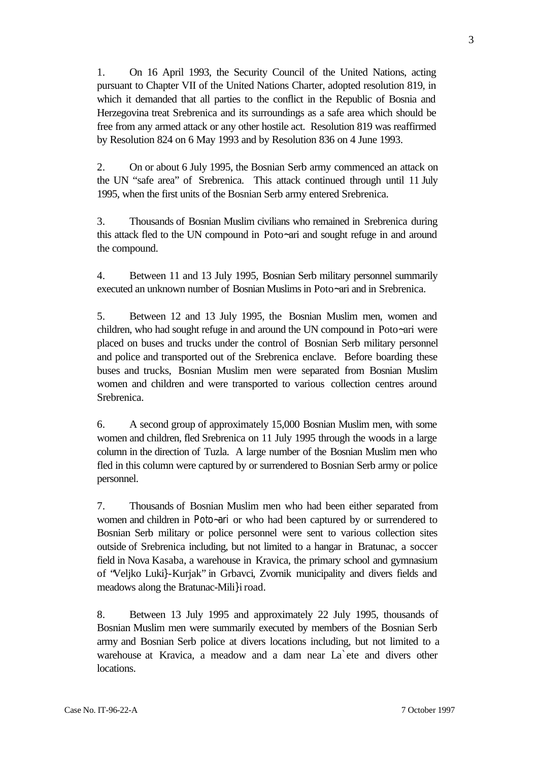1. On 16 April 1993, the Security Council of the United Nations, acting pursuant to Chapter VII of the United Nations Charter, adopted resolution 819, in which it demanded that all parties to the conflict in the Republic of Bosnia and Herzegovina treat Srebrenica and its surroundings as a safe area which should be free from any armed attack or any other hostile act. Resolution 819 was reaffirmed by Resolution 824 on 6 May 1993 and by Resolution 836 on 4 June 1993.

2. On or about 6 July 1995, the Bosnian Serb army commenced an attack on the UN "safe area" of Srebrenica. This attack continued through until 11 July 1995, when the first units of the Bosnian Serb army entered Srebrenica.

3. Thousands of Bosnian Muslim civilians who remained in Srebrenica during this attack fled to the UN compound in Poto~ari and sought refuge in and around the compound.

4. Between 11 and 13 July 1995, Bosnian Serb military personnel summarily executed an unknown number of Bosnian Muslims in Poto~ari and in Srebrenica.

5. Between 12 and 13 July 1995, the Bosnian Muslim men, women and children, who had sought refuge in and around the UN compound in Poto~ari were placed on buses and trucks under the control of Bosnian Serb military personnel and police and transported out of the Srebrenica enclave. Before boarding these buses and trucks, Bosnian Muslim men were separated from Bosnian Muslim women and children and were transported to various collection centres around Srebrenica.

6. A second group of approximately 15,000 Bosnian Muslim men, with some women and children, fled Srebrenica on 11 July 1995 through the woods in a large column in the direction of Tuzla. A large number of the Bosnian Muslim men who fled in this column were captured by or surrendered to Bosnian Serb army or police personnel.

7. Thousands of Bosnian Muslim men who had been either separated from women and children in Poto~ari or who had been captured by or surrendered to Bosnian Serb military or police personnel were sent to various collection sites outside of Srebrenica including, but not limited to a hangar in Bratunac, a soccer field in Nova Kasaba, a warehouse in Kravica, the primary school and gymnasium of "Veljko Luki}-Kurjak" in Grbavci, Zvornik municipality and divers fields and meadows along the Bratunac-Mili}i road.

8. Between 13 July 1995 and approximately 22 July 1995, thousands of Bosnian Muslim men were summarily executed by members of the Bosnian Serb army and Bosnian Serb police at divers locations including, but not limited to a warehouse at Kravica, a meadow and a dam near La`ete and divers other locations.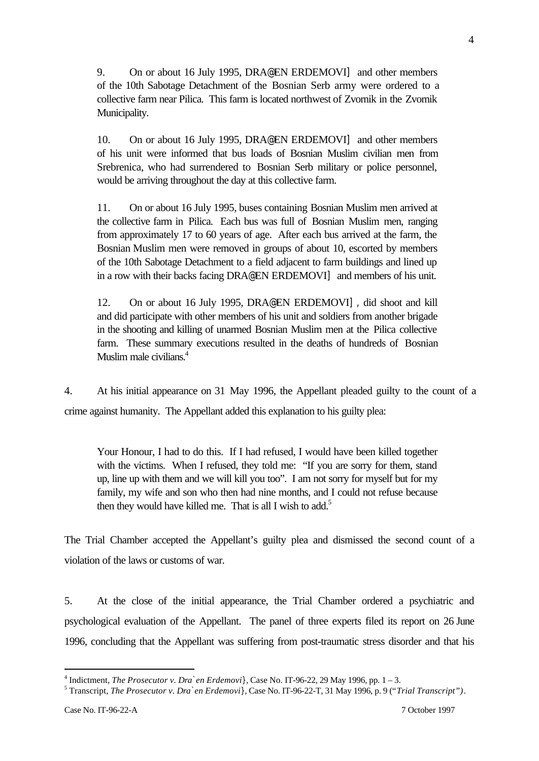9. On or about 16 July 1995, DRA@EN ERDEMOVI] and other members of the 10th Sabotage Detachment of the Bosnian Serb army were ordered to a collective farm near Pilica. This farm is located northwest of Zvornik in the Zvornik Municipality.

10. On or about 16 July 1995, DRA@EN ERDEMOVI] and other members of his unit were informed that bus loads of Bosnian Muslim civilian men from Srebrenica, who had surrendered to Bosnian Serb military or police personnel, would be arriving throughout the day at this collective farm.

11. On or about 16 July 1995, buses containing Bosnian Muslim men arrived at the collective farm in Pilica. Each bus was full of Bosnian Muslim men, ranging from approximately 17 to 60 years of age. After each bus arrived at the farm, the Bosnian Muslim men were removed in groups of about 10, escorted by members of the 10th Sabotage Detachment to a field adjacent to farm buildings and lined up in a row with their backs facing DRA@EN ERDEMOVI] and members of his unit.

12. On or about 16 July 1995, DRA@EN ERDEMOVI], did shoot and kill and did participate with other members of his unit and soldiers from another brigade in the shooting and killing of unarmed Bosnian Muslim men at the Pilica collective farm. These summary executions resulted in the deaths of hundreds of Bosnian Muslim male civilians.<sup>4</sup>

4. At his initial appearance on 31 May 1996, the Appellant pleaded guilty to the count of a crime against humanity. The Appellant added this explanation to his guilty plea:

Your Honour, I had to do this. If I had refused, I would have been killed together with the victims. When I refused, they told me: "If you are sorry for them, stand up, line up with them and we will kill you too". I am not sorry for myself but for my family, my wife and son who then had nine months, and I could not refuse because then they would have killed me. That is all I wish to add.<sup>5</sup>

The Trial Chamber accepted the Appellant's guilty plea and dismissed the second count of a violation of the laws or customs of war.

5. At the close of the initial appearance, the Trial Chamber ordered a psychiatric and psychological evaluation of the Appellant. The panel of three experts filed its report on 26 June 1996, concluding that the Appellant was suffering from post-traumatic stress disorder and that his

<sup>4</sup> Indictment, *The Prosecutor v. Dra`en Erdemovi},* Case No. IT-96-22, 29 May 1996, pp. 1 – 3.

<sup>5</sup> Transcript, *The Prosecutor v. Dra`en Erdemovi},* Case No. IT-96-22-T, 31 May 1996, p. 9 ("*Trial Transcript")*.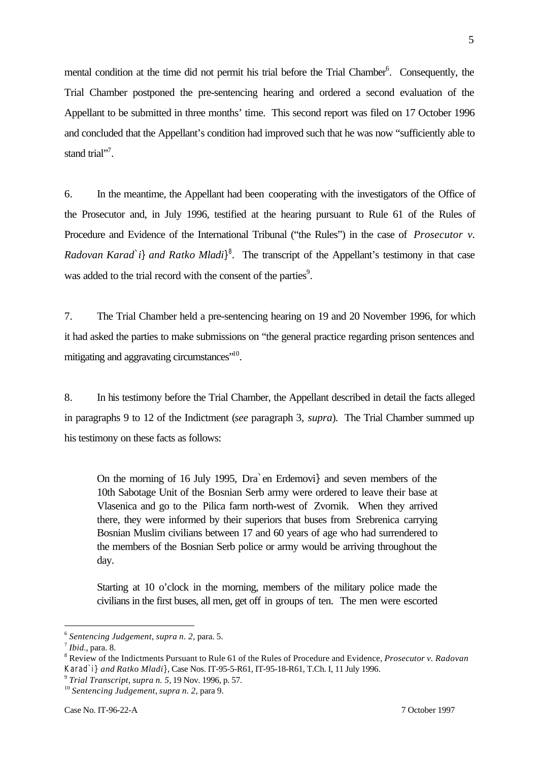mental condition at the time did not permit his trial before the Trial Chamber<sup>6</sup>. Consequently, the Trial Chamber postponed the pre-sentencing hearing and ordered a second evaluation of the Appellant to be submitted in three months' time. This second report was filed on 17 October 1996 and concluded that the Appellant's condition had improved such that he was now "sufficiently able to stand trial"<sup>7</sup>.

6. In the meantime, the Appellant had been cooperating with the investigators of the Office of the Prosecutor and, in July 1996, testified at the hearing pursuant to Rule 61 of the Rules of Procedure and Evidence of the International Tribunal ("the Rules") in the case of *Prosecutor v. Radovan Karad`i} and Ratko Mladi} 8* . The transcript of the Appellant's testimony in that case was added to the trial record with the consent of the parties<sup>9</sup>.

7. The Trial Chamber held a pre-sentencing hearing on 19 and 20 November 1996, for which it had asked the parties to make submissions on "the general practice regarding prison sentences and mitigating and aggravating circumstances<sup>'10</sup>.

8. In his testimony before the Trial Chamber, the Appellant described in detail the facts alleged in paragraphs 9 to 12 of the Indictment (*see* paragraph 3, *supra*). The Trial Chamber summed up his testimony on these facts as follows:

On the morning of 16 July 1995, Dra`en Erdemovi} and seven members of the 10th Sabotage Unit of the Bosnian Serb army were ordered to leave their base at Vlasenica and go to the Pilica farm north-west of Zvornik. When they arrived there, they were informed by their superiors that buses from Srebrenica carrying Bosnian Muslim civilians between 17 and 60 years of age who had surrendered to the members of the Bosnian Serb police or army would be arriving throughout the day.

Starting at 10 o'clock in the morning, members of the military police made the civilians in the first buses, all men, get off in groups of ten. The men were escorted

<sup>6</sup> *Sentencing Judgement, supra n. 2,* para. 5.

<sup>7</sup> *Ibid.,* para. 8.

<sup>8</sup> Review of the Indictments Pursuant to Rule 61 of the Rules of Procedure and Evidence, *Prosecutor v. Radovan Karad`i} and Ratko Mladi}*, Case Nos. IT-95-5-R61, IT-95-18-R61, T.Ch. I, 11 July 1996.

<sup>9</sup> *Trial Transcript, supra n. 5,* 19 Nov. 1996, p. 57.

<sup>10</sup> *Sentencing Judgement*, *supra n. 2,* para 9.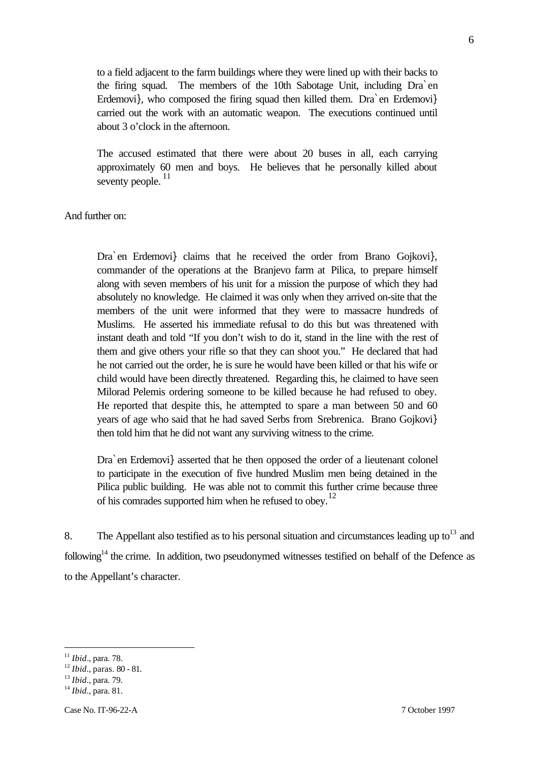to a field adjacent to the farm buildings where they were lined up with their backs to the firing squad. The members of the 10th Sabotage Unit, including Dra`en Erdemovi}, who composed the firing squad then killed them. Dra`en Erdemovi} carried out the work with an automatic weapon. The executions continued until about 3 o'clock in the afternoon.

The accused estimated that there were about 20 buses in all, each carrying approximately 60 men and boys. He believes that he personally killed about seventy people.<sup>11</sup>

And further on:

Dra`en Erdemovi} claims that he received the order from Brano Gojkovi}, commander of the operations at the Branjevo farm at Pilica, to prepare himself along with seven members of his unit for a mission the purpose of which they had absolutely no knowledge. He claimed it was only when they arrived on-site that the members of the unit were informed that they were to massacre hundreds of Muslims. He asserted his immediate refusal to do this but was threatened with instant death and told "If you don't wish to do it, stand in the line with the rest of them and give others your rifle so that they can shoot you." He declared that had he not carried out the order, he is sure he would have been killed or that his wife or child would have been directly threatened. Regarding this, he claimed to have seen Milorad Pelemis ordering someone to be killed because he had refused to obey. He reported that despite this, he attempted to spare a man between 50 and 60 years of age who said that he had saved Serbs from Srebrenica. Brano Gojkovi} then told him that he did not want any surviving witness to the crime.

Dra`en Erdemovi} asserted that he then opposed the order of a lieutenant colonel to participate in the execution of five hundred Muslim men being detained in the Pilica public building. He was able not to commit this further crime because three of his comrades supported him when he refused to obey.<sup>12</sup>

8. The Appellant also testified as to his personal situation and circumstances leading up to<sup>13</sup> and following<sup>14</sup> the crime. In addition, two pseudonymed witnesses testified on behalf of the Defence as to the Appellant's character.

<sup>11</sup> *Ibid*., para. 78.

<sup>12</sup> *Ibid.*, paras. 80 - 81.

<sup>13</sup> *Ibid.*, para. 79.

<sup>14</sup> *Ibid.*, para. 81.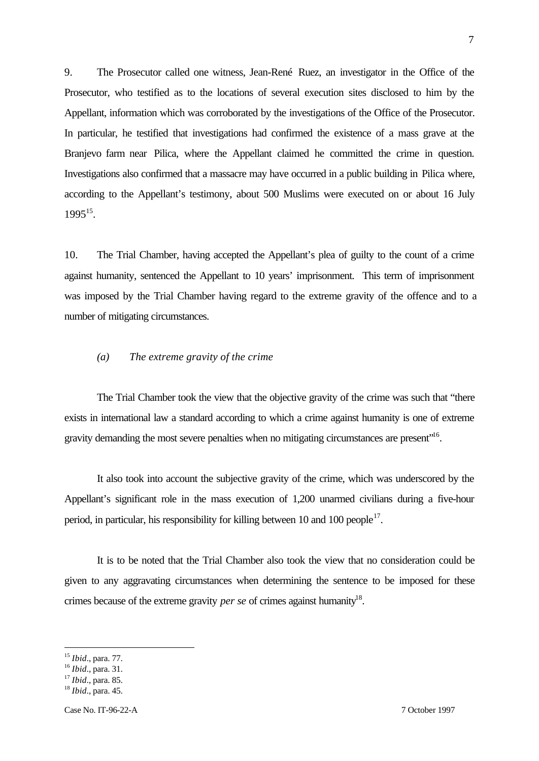9. The Prosecutor called one witness, Jean-René Ruez, an investigator in the Office of the Prosecutor, who testified as to the locations of several execution sites disclosed to him by the Appellant, information which was corroborated by the investigations of the Office of the Prosecutor. In particular, he testified that investigations had confirmed the existence of a mass grave at the Branjevo farm near Pilica, where the Appellant claimed he committed the crime in question. Investigations also confirmed that a massacre may have occurred in a public building in Pilica where, according to the Appellant's testimony, about 500 Muslims were executed on or about 16 July 1995<sup>15</sup> .

10. The Trial Chamber, having accepted the Appellant's plea of guilty to the count of a crime against humanity, sentenced the Appellant to 10 years' imprisonment. This term of imprisonment was imposed by the Trial Chamber having regard to the extreme gravity of the offence and to a number of mitigating circumstances.

## *(a) The extreme gravity of the crime*

The Trial Chamber took the view that the objective gravity of the crime was such that "there exists in international law a standard according to which a crime against humanity is one of extreme gravity demanding the most severe penalties when no mitigating circumstances are present"<sup>16</sup>.

It also took into account the subjective gravity of the crime, which was underscored by the Appellant's significant role in the mass execution of 1,200 unarmed civilians during a five-hour period, in particular, his responsibility for killing between 10 and 100 people<sup>17</sup>.

It is to be noted that the Trial Chamber also took the view that no consideration could be given to any aggravating circumstances when determining the sentence to be imposed for these crimes because of the extreme gravity *per se* of crimes against humanity<sup>18</sup>.

<sup>15</sup> *Ibid.*, para. 77.

<sup>16</sup> *Ibid.*, para. 31.

<sup>17</sup> *Ibid.*, para. 85.

<sup>18</sup> *Ibid.*, para. 45.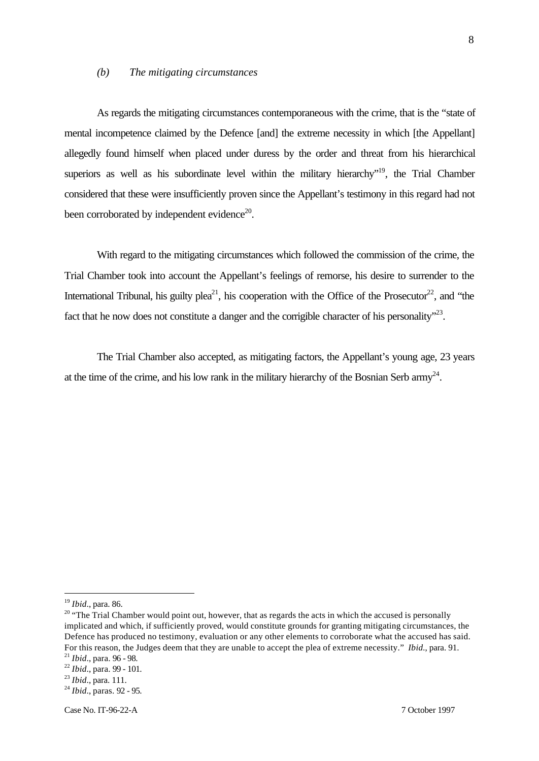#### *(b) The mitigating circumstances*

As regards the mitigating circumstances contemporaneous with the crime, that is the "state of mental incompetence claimed by the Defence [and] the extreme necessity in which [the Appellant] allegedly found himself when placed under duress by the order and threat from his hierarchical superiors as well as his subordinate level within the military hierarchy<sup>19</sup>, the Trial Chamber considered that these were insufficiently proven since the Appellant's testimony in this regard had not been corroborated by independent evidence $20$ .

With regard to the mitigating circumstances which followed the commission of the crime, the Trial Chamber took into account the Appellant's feelings of remorse, his desire to surrender to the International Tribunal, his guilty  $plea<sup>21</sup>$ , his cooperation with the Office of the Prosecutor<sup>22</sup>, and "the fact that he now does not constitute a danger and the corrigible character of his personality<sup> $23$ </sup>.

The Trial Chamber also accepted, as mitigating factors, the Appellant's young age, 23 years at the time of the crime, and his low rank in the military hierarchy of the Bosnian Serb army<sup>24</sup>.

<sup>19</sup> *Ibid.*, para. 86.

<sup>&</sup>lt;sup>20</sup> "The Trial Chamber would point out, however, that as regards the acts in which the accused is personally implicated and which, if sufficiently proved, would constitute grounds for granting mitigating circumstances, the Defence has produced no testimony, evaluation or any other elements to corroborate what the accused has said. For this reason, the Judges deem that they are unable to accept the plea of extreme necessity." *Ibid.*, para. 91.

<sup>21</sup> *Ibid.*, para. 96 - 98.

<sup>22</sup> *Ibid.*, para. 99 - 101.

<sup>23</sup> *Ibid.*, para. 111.

<sup>24</sup> *Ibid.*, paras. 92 - 95.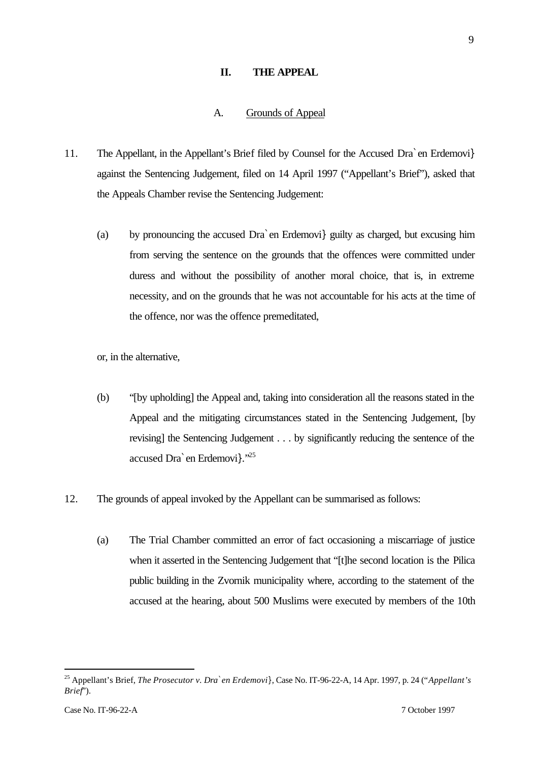## **II. THE APPEAL**

## A. Grounds of Appeal

- 11. The Appellant, in the Appellant's Brief filed by Counsel for the Accused Dra`en Erdemovi} against the Sentencing Judgement, filed on 14 April 1997 ("Appellant's Brief"), asked that the Appeals Chamber revise the Sentencing Judgement:
	- (a) by pronouncing the accused Dra`en Erdemovi} guilty as charged, but excusing him from serving the sentence on the grounds that the offences were committed under duress and without the possibility of another moral choice, that is, in extreme necessity, and on the grounds that he was not accountable for his acts at the time of the offence, nor was the offence premeditated,

or, in the alternative,

- (b) "[by upholding] the Appeal and, taking into consideration all the reasons stated in the Appeal and the mitigating circumstances stated in the Sentencing Judgement, [by revising] the Sentencing Judgement . . . by significantly reducing the sentence of the accused Dra`en Erdemovi}."<sup>25</sup>
- 12. The grounds of appeal invoked by the Appellant can be summarised as follows:
	- (a) The Trial Chamber committed an error of fact occasioning a miscarriage of justice when it asserted in the Sentencing Judgement that "[t]he second location is the Pilica public building in the Zvornik municipality where, according to the statement of the accused at the hearing, about 500 Muslims were executed by members of the 10th

<sup>25</sup> Appellant's Brief, *The Prosecutor v. Dra`en Erdemovi}*, Case No. IT-96-22-A, 14 Apr. 1997, p. 24 ("*Appellant's Brief*").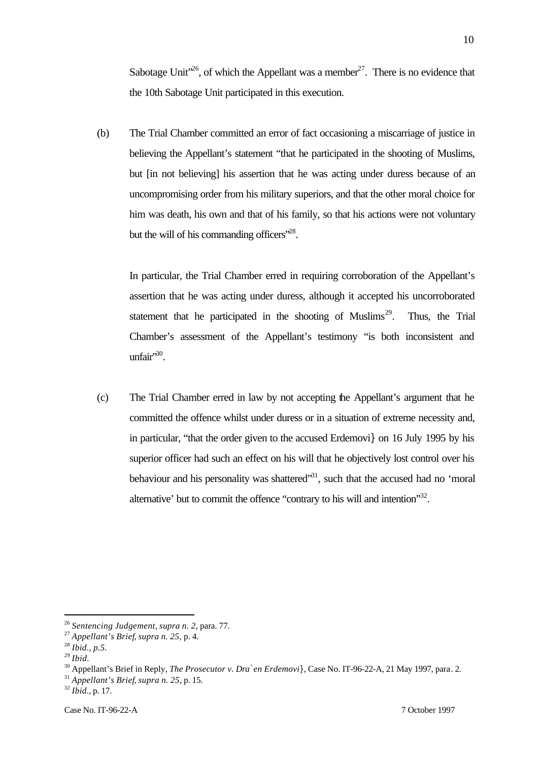Sabotage Unit<sup>326</sup>, of which the Appellant was a member<sup>27</sup>. There is no evidence that the 10th Sabotage Unit participated in this execution.

(b) The Trial Chamber committed an error of fact occasioning a miscarriage of justice in believing the Appellant's statement "that he participated in the shooting of Muslims, but [in not believing] his assertion that he was acting under duress because of an uncompromising order from his military superiors, and that the other moral choice for him was death, his own and that of his family, so that his actions were not voluntary but the will of his commanding officers<sup> $28$ </sup>.

In particular, the Trial Chamber erred in requiring corroboration of the Appellant's assertion that he was acting under duress, although it accepted his uncorroborated statement that he participated in the shooting of Muslims<sup>29</sup>. Thus, the Trial Chamber's assessment of the Appellant's testimony "is both inconsistent and  $unfair<sup>30</sup>$ .

(c) The Trial Chamber erred in law by not accepting the Appellant's argument that he committed the offence whilst under duress or in a situation of extreme necessity and, in particular, "that the order given to the accused Erdemovi} on 16 July 1995 by his superior officer had such an effect on his will that he objectively lost control over his behaviour and his personality was shattered $3<sup>31</sup>$ , such that the accused had no 'moral alternative' but to commit the offence "contrary to his will and intention"<sup>32</sup>.

<sup>26</sup> *Sentencing Judgement*, *supra n. 2,* para. 77.

<sup>27</sup> *Appellant's Brief*, *supra n. 25,* p. 4.

<sup>28</sup> *Ibid., p.5.*

<sup>29</sup> *Ibid.*

<sup>30</sup> Appellant's Brief in Reply, *The Prosecutor v. Dra`en Erdemovi}*, Case No. IT-96-22-A, 21 May 1997, para. 2.

<sup>31</sup> *Appellant's Brief*, *supra n. 25*, p. 15.

<sup>32</sup> *Ibid.,* p. 17.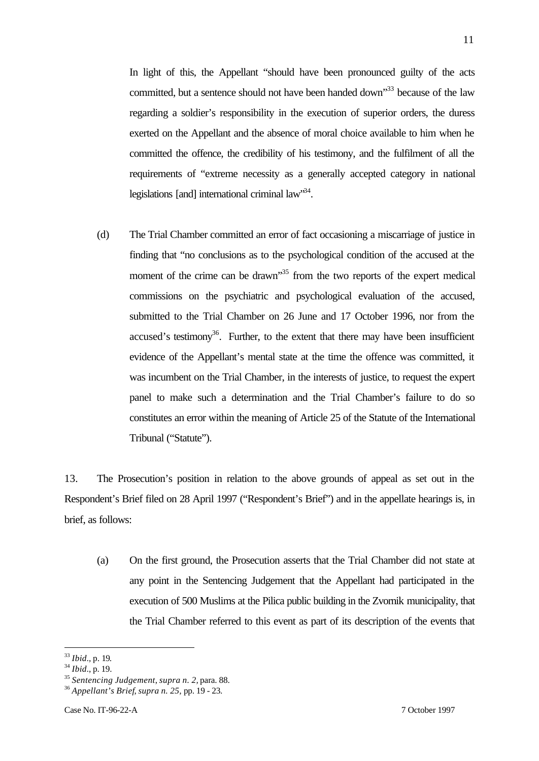In light of this, the Appellant "should have been pronounced guilty of the acts committed, but a sentence should not have been handed down<sup>333</sup> because of the law regarding a soldier's responsibility in the execution of superior orders, the duress exerted on the Appellant and the absence of moral choice available to him when he committed the offence, the credibility of his testimony, and the fulfilment of all the requirements of "extreme necessity as a generally accepted category in national legislations [and] international criminal law<sup>34</sup>.

(d) The Trial Chamber committed an error of fact occasioning a miscarriage of justice in finding that "no conclusions as to the psychological condition of the accused at the moment of the crime can be drawn"<sup>35</sup> from the two reports of the expert medical commissions on the psychiatric and psychological evaluation of the accused, submitted to the Trial Chamber on 26 June and 17 October 1996, nor from the accused's testimony<sup>36</sup>. Further, to the extent that there may have been insufficient evidence of the Appellant's mental state at the time the offence was committed, it was incumbent on the Trial Chamber, in the interests of justice, to request the expert panel to make such a determination and the Trial Chamber's failure to do so constitutes an error within the meaning of Article 25 of the Statute of the International Tribunal ("Statute").

13. The Prosecution's position in relation to the above grounds of appeal as set out in the Respondent's Brief filed on 28 April 1997 ("Respondent's Brief") and in the appellate hearings is, in brief, as follows:

(a) On the first ground, the Prosecution asserts that the Trial Chamber did not state at any point in the Sentencing Judgement that the Appellant had participated in the execution of 500 Muslims at the Pilica public building in the Zvornik municipality, that the Trial Chamber referred to this event as part of its description of the events that

<sup>33</sup> *Ibid.,* p*.* 19*.*

 $^{34}$  *Ibid.*, p. 19.

<sup>35</sup> *Sentencing Judgement*, *supra n. 2,* para. 88.

<sup>36</sup> *Appellant's Brief*, *supra n. 25,* pp. 19 - 23.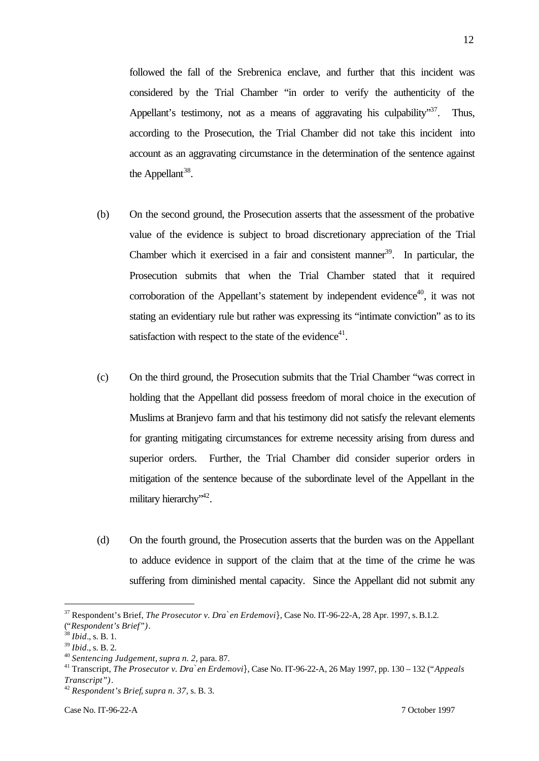followed the fall of the Srebrenica enclave, and further that this incident was considered by the Trial Chamber "in order to verify the authenticity of the Appellant's testimony, not as a means of aggravating his culpability"<sup>37</sup>. Thus, according to the Prosecution, the Trial Chamber did not take this incident into account as an aggravating circumstance in the determination of the sentence against the Appellant<sup>38</sup>.

- (b) On the second ground, the Prosecution asserts that the assessment of the probative value of the evidence is subject to broad discretionary appreciation of the Trial Chamber which it exercised in a fair and consistent manner<sup>39</sup>. In particular, the Prosecution submits that when the Trial Chamber stated that it required corroboration of the Appellant's statement by independent evidence<sup>40</sup>, it was not stating an evidentiary rule but rather was expressing its "intimate conviction" as to its satisfaction with respect to the state of the evidence $4$ .
- (c) On the third ground, the Prosecution submits that the Trial Chamber "was correct in holding that the Appellant did possess freedom of moral choice in the execution of Muslims at Branjevo farm and that his testimony did not satisfy the relevant elements for granting mitigating circumstances for extreme necessity arising from duress and superior orders. Further, the Trial Chamber did consider superior orders in mitigation of the sentence because of the subordinate level of the Appellant in the military hierarchy<sup>342</sup>.
- (d) On the fourth ground, the Prosecution asserts that the burden was on the Appellant to adduce evidence in support of the claim that at the time of the crime he was suffering from diminished mental capacity. Since the Appellant did not submit any

<sup>37</sup> Respondent's Brief, *The Prosecutor v. Dra`en Erdemovi}*, Case No. IT-96-22-A, 28 Apr. 1997, s. B.1.2.

<sup>(&</sup>quot;*Respondent's Brief")*.

<sup>38</sup> *Ibid*., s. B. 1.

<sup>39</sup> *Ibid.*, s. B. 2.

<sup>40</sup> *Sentencing Judgement*, *supra n. 2,* para. 87.

<sup>41</sup> Transcript, *The Prosecutor v. Dra`en Erdemovi}*, Case No. IT-96-22-A, 26 May 1997, pp. 130 – 132 ("*Appeals Transcript")*.

<sup>42</sup> *Respondent's Brief*, *supra n. 37,* s. B. 3.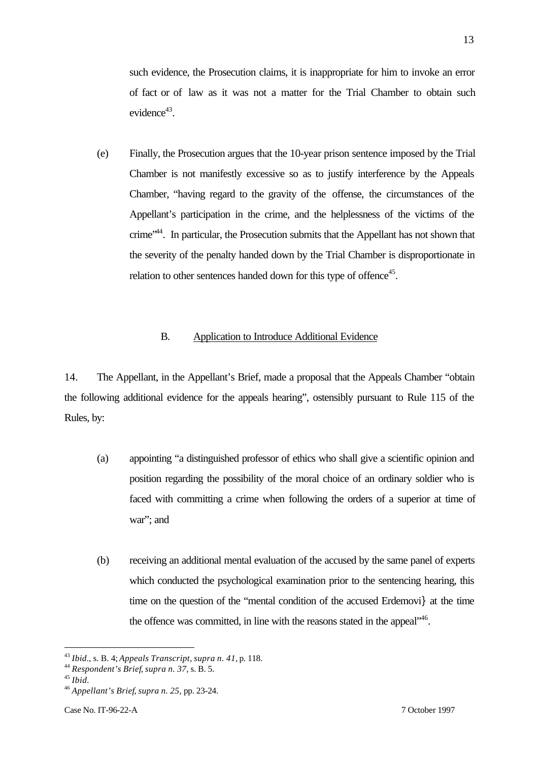such evidence, the Prosecution claims, it is inappropriate for him to invoke an error of fact or of law as it was not a matter for the Trial Chamber to obtain such evidence<sup>43</sup>.

(e) Finally, the Prosecution argues that the 10-year prison sentence imposed by the Trial Chamber is not manifestly excessive so as to justify interference by the Appeals Chamber, "having regard to the gravity of the offense, the circumstances of the Appellant's participation in the crime, and the helplessness of the victims of the crime<sup>, 44</sup>. In particular, the Prosecution submits that the Appellant has not shown that the severity of the penalty handed down by the Trial Chamber is disproportionate in relation to other sentences handed down for this type of offence<sup>45</sup>.

## B. Application to Introduce Additional Evidence

14. The Appellant, in the Appellant's Brief, made a proposal that the Appeals Chamber "obtain the following additional evidence for the appeals hearing", ostensibly pursuant to Rule 115 of the Rules, by:

- (a) appointing "a distinguished professor of ethics who shall give a scientific opinion and position regarding the possibility of the moral choice of an ordinary soldier who is faced with committing a crime when following the orders of a superior at time of war"; and
- (b) receiving an additional mental evaluation of the accused by the same panel of experts which conducted the psychological examination prior to the sentencing hearing, this time on the question of the "mental condition of the accused Erdemovi} at the time the offence was committed, in line with the reasons stated in the appeal<sup>146</sup>.

<sup>43</sup> *Ibid.*, s. B. 4; *Appeals Transcript*, *supra n. 41,* p. 118.

<sup>44</sup> *Respondent's Brief*, *supra n. 37*, s. B. 5.

 $45$  *Ibid.* 

<sup>46</sup> *Appellant's Brief*, *supra n. 25,* pp. 23-24.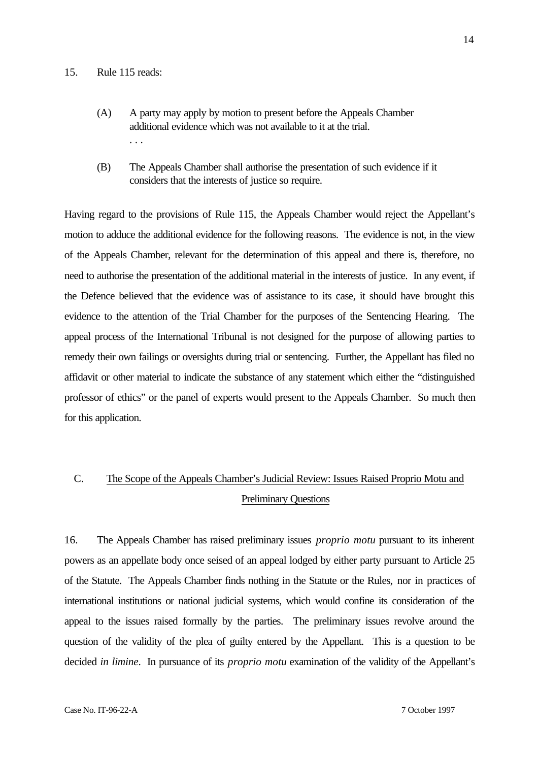#### 15. Rule 115 reads:

- (A) A party may apply by motion to present before the Appeals Chamber additional evidence which was not available to it at the trial. . . .
- (B) The Appeals Chamber shall authorise the presentation of such evidence if it considers that the interests of justice so require.

Having regard to the provisions of Rule 115, the Appeals Chamber would reject the Appellant's motion to adduce the additional evidence for the following reasons. The evidence is not, in the view of the Appeals Chamber, relevant for the determination of this appeal and there is, therefore, no need to authorise the presentation of the additional material in the interests of justice. In any event, if the Defence believed that the evidence was of assistance to its case, it should have brought this evidence to the attention of the Trial Chamber for the purposes of the Sentencing Hearing. The appeal process of the International Tribunal is not designed for the purpose of allowing parties to remedy their own failings or oversights during trial or sentencing. Further, the Appellant has filed no affidavit or other material to indicate the substance of any statement which either the "distinguished professor of ethics" or the panel of experts would present to the Appeals Chamber. So much then for this application.

# C. The Scope of the Appeals Chamber's Judicial Review: Issues Raised Proprio Motu and Preliminary Questions

16. The Appeals Chamber has raised preliminary issues *proprio motu* pursuant to its inherent powers as an appellate body once seised of an appeal lodged by either party pursuant to Article 25 of the Statute. The Appeals Chamber finds nothing in the Statute or the Rules, nor in practices of international institutions or national judicial systems, which would confine its consideration of the appeal to the issues raised formally by the parties. The preliminary issues revolve around the question of the validity of the plea of guilty entered by the Appellant. This is a question to be decided *in limine*. In pursuance of its *proprio motu* examination of the validity of the Appellant's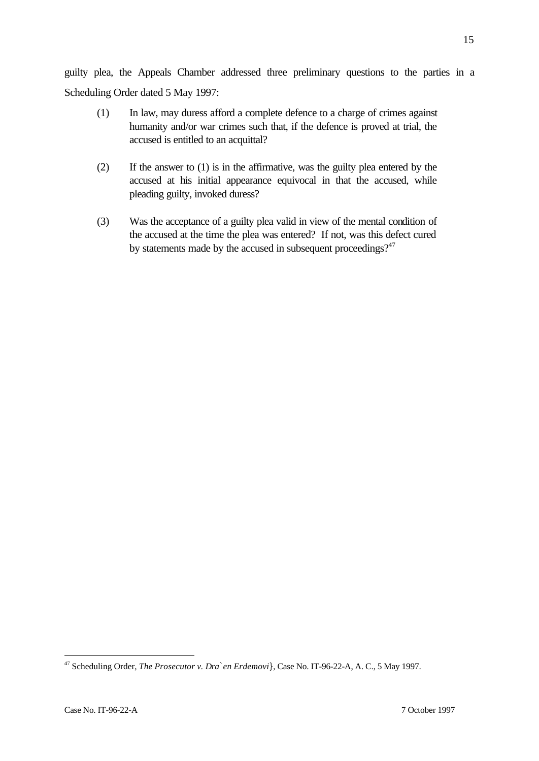guilty plea, the Appeals Chamber addressed three preliminary questions to the parties in a Scheduling Order dated 5 May 1997:

- (1) In law, may duress afford a complete defence to a charge of crimes against humanity and/or war crimes such that, if the defence is proved at trial, the accused is entitled to an acquittal?
- (2) If the answer to (1) is in the affirmative, was the guilty plea entered by the accused at his initial appearance equivocal in that the accused, while pleading guilty, invoked duress?
- (3) Was the acceptance of a guilty plea valid in view of the mental condition of the accused at the time the plea was entered? If not, was this defect cured by statements made by the accused in subsequent proceedings?<sup>47</sup>

<sup>47</sup> Scheduling Order, *The Prosecutor v. Dra`en Erdemovi}*, Case No. IT-96-22-A, A. C., 5 May 1997.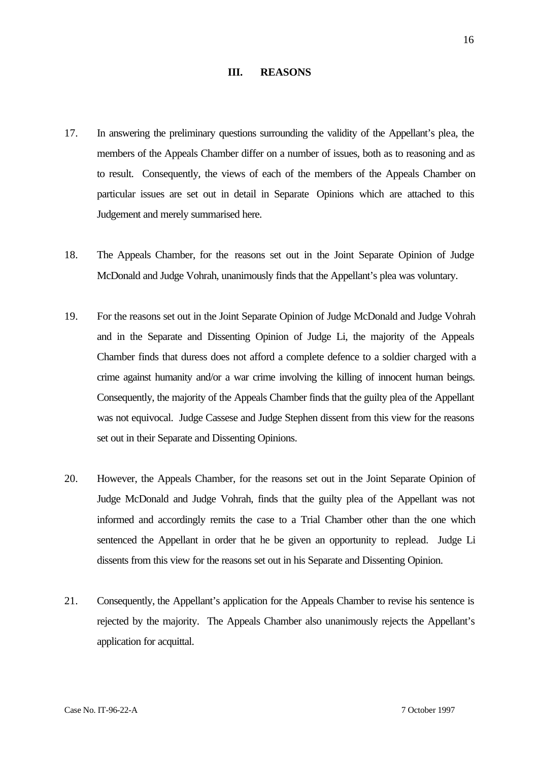#### **III. REASONS**

- 17. In answering the preliminary questions surrounding the validity of the Appellant's plea, the members of the Appeals Chamber differ on a number of issues, both as to reasoning and as to result. Consequently, the views of each of the members of the Appeals Chamber on particular issues are set out in detail in Separate Opinions which are attached to this Judgement and merely summarised here.
- 18. The Appeals Chamber, for the reasons set out in the Joint Separate Opinion of Judge McDonald and Judge Vohrah, unanimously finds that the Appellant's plea was voluntary.
- 19. For the reasons set out in the Joint Separate Opinion of Judge McDonald and Judge Vohrah and in the Separate and Dissenting Opinion of Judge Li, the majority of the Appeals Chamber finds that duress does not afford a complete defence to a soldier charged with a crime against humanity and/or a war crime involving the killing of innocent human beings. Consequently, the majority of the Appeals Chamber finds that the guilty plea of the Appellant was not equivocal. Judge Cassese and Judge Stephen dissent from this view for the reasons set out in their Separate and Dissenting Opinions.
- 20. However, the Appeals Chamber, for the reasons set out in the Joint Separate Opinion of Judge McDonald and Judge Vohrah, finds that the guilty plea of the Appellant was not informed and accordingly remits the case to a Trial Chamber other than the one which sentenced the Appellant in order that he be given an opportunity to replead. Judge Li dissents from this view for the reasons set out in his Separate and Dissenting Opinion.
- 21. Consequently, the Appellant's application for the Appeals Chamber to revise his sentence is rejected by the majority. The Appeals Chamber also unanimously rejects the Appellant's application for acquittal.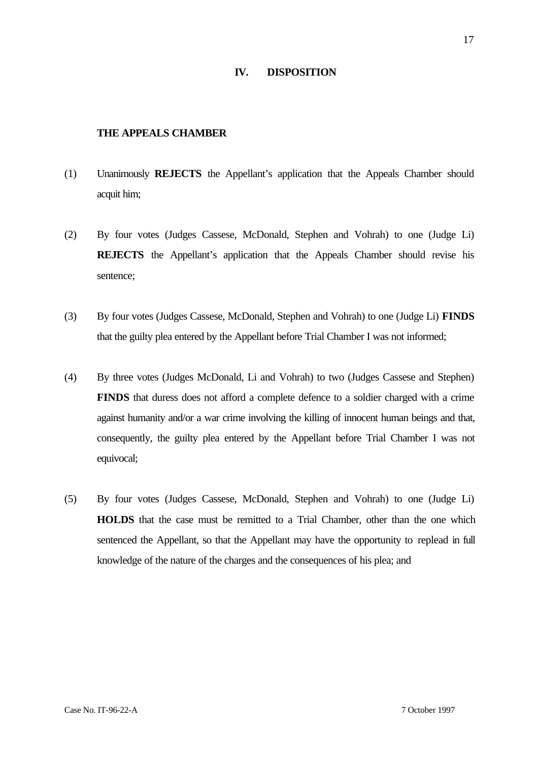#### **IV. DISPOSITION**

### **THE APPEALS CHAMBER**

- (1) Unanimously **REJECTS** the Appellant's application that the Appeals Chamber should acquit him;
- (2) By four votes (Judges Cassese, McDonald, Stephen and Vohrah) to one (Judge Li) **REJECTS** the Appellant's application that the Appeals Chamber should revise his sentence;
- (3) By four votes (Judges Cassese, McDonald, Stephen and Vohrah) to one (Judge Li) **FINDS** that the guilty plea entered by the Appellant before Trial Chamber I was not informed;
- (4) By three votes (Judges McDonald, Li and Vohrah) to two (Judges Cassese and Stephen) **FINDS** that duress does not afford a complete defence to a soldier charged with a crime against humanity and/or a war crime involving the killing of innocent human beings and that, consequently, the guilty plea entered by the Appellant before Trial Chamber I was not equivocal;
- (5) By four votes (Judges Cassese, McDonald, Stephen and Vohrah) to one (Judge Li) **HOLDS** that the case must be remitted to a Trial Chamber, other than the one which sentenced the Appellant, so that the Appellant may have the opportunity to replead in full knowledge of the nature of the charges and the consequences of his plea; and